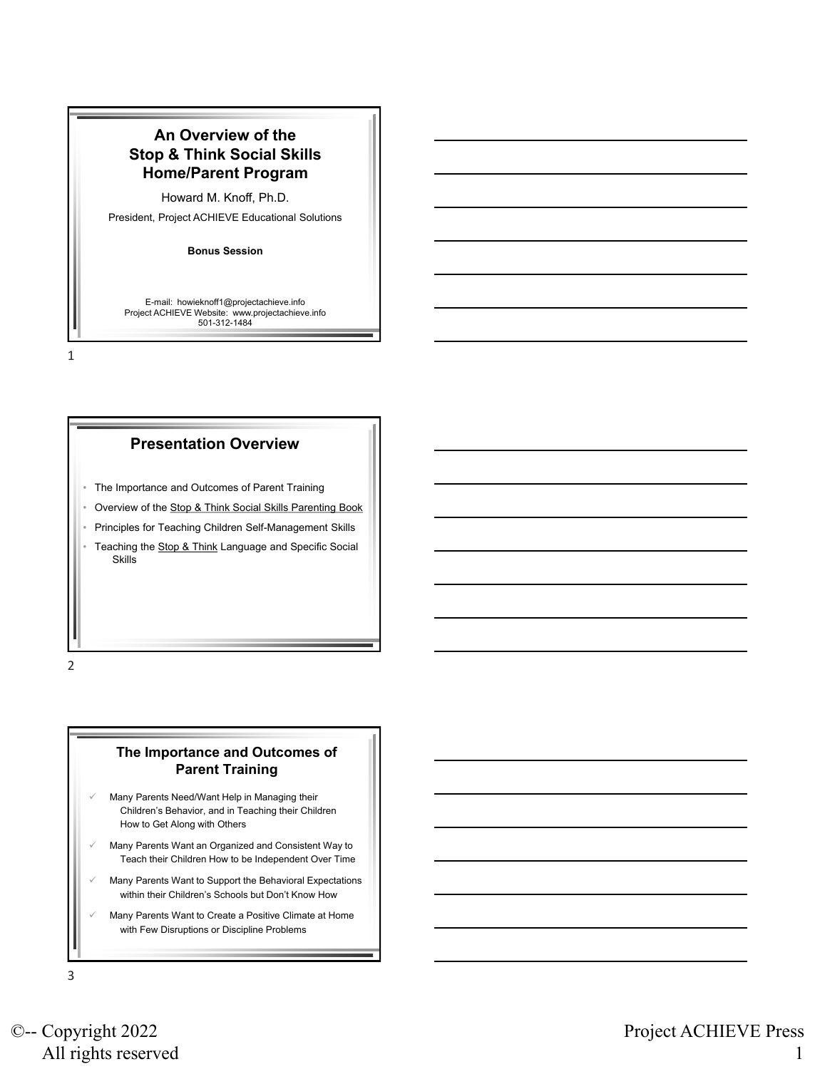# **An Overview of the Stop & Think Social Skills Home/Parent Program**

Howard M. Knoff, Ph.D.

President, Project ACHIEVE Educational Solutions

**Bonus Session**

E-mail: howieknoff1@projectachieve.info Project ACHIEVE Website: www.projectachieve.info 501-312-1484

1

### **Presentation Overview**

- The Importance and Outcomes of Parent Training
- Overview of the Stop & Think Social Skills Parenting Book
- Principles for Teaching Children Self-Management Skills
- Teaching the Stop & Think Language and Specific Social **Skills**

2

#### **The Importance and Outcomes of Parent Training**

- Many Parents Need/Want Help in Managing their Children's Behavior, and in Teaching their Children How to Get Along with Others
- ✓ Many Parents Want an Organized and Consistent Way to Teach their Children How to be Independent Over Time
- Many Parents Want to Support the Behavioral Expectations within their Children's Schools but Don't Know How
- Many Parents Want to Create a Positive Climate at Home with Few Disruptions or Discipline Problems

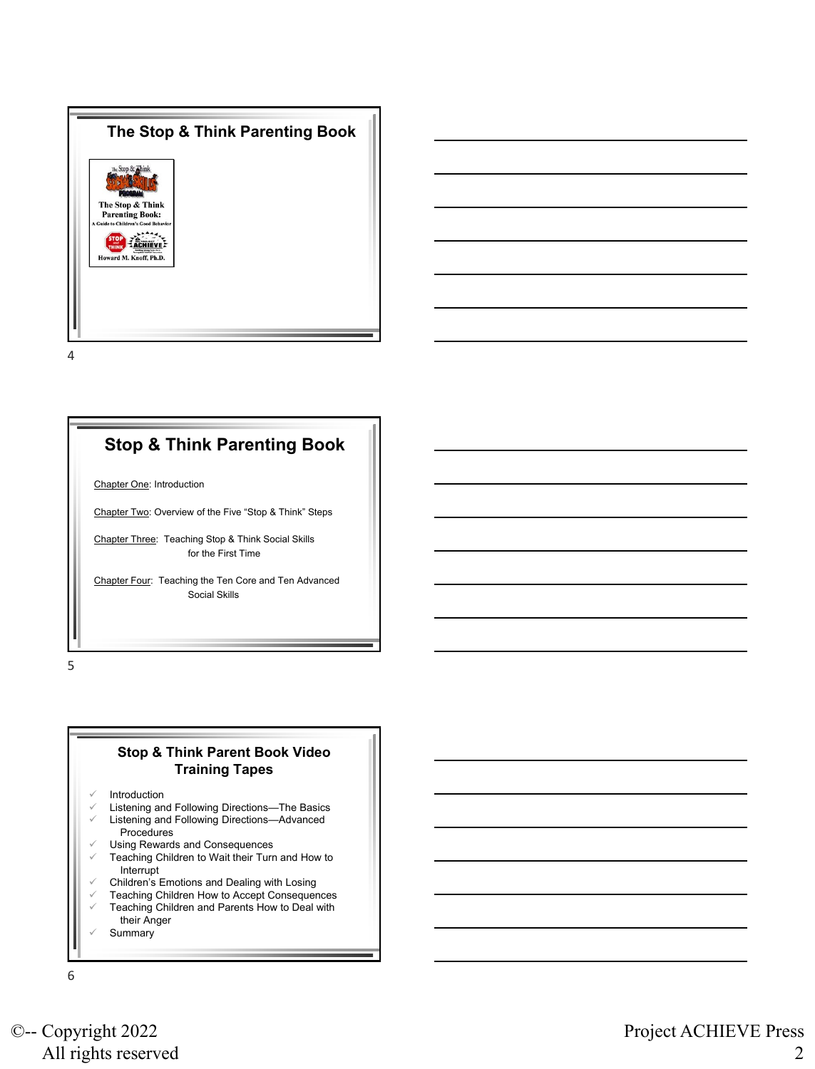



# **Stop & Think Parenting Book**

Chapter One: Introduction

Chapter Two: Overview of the Five "Stop & Think" Steps

Chapter Three: Teaching Stop & Think Social Skills for the First Time

Chapter Four: Teaching the Ten Core and Ten Advanced Social Skills

5

### **Stop & Think Parent Book Video Training Tapes**

- **Introduction**
- Listening and Following Directions-The Basics
- Listening and Following Directions-Advanced Procedures
- Using Rewards and Consequences
- Teaching Children to Wait their Turn and How to Interrupt
- ✓ Children's Emotions and Dealing with Losing
- Teaching Children How to Accept Consequences
- $\checkmark$  Teaching Children and Parents How to Deal with their Anger
- **Summary**

6

©-- Copyright 2022 All rights reserved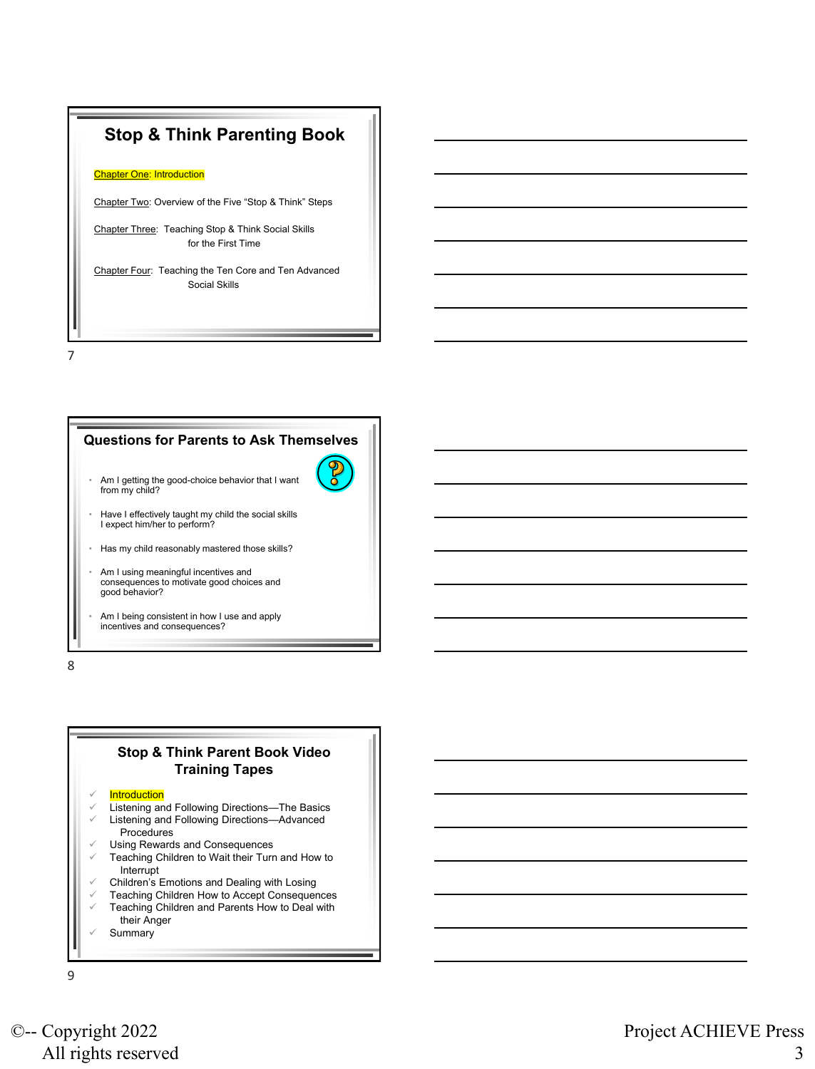# **Stop & Think Parenting Book**

#### **Chapter One: Introduction**

Chapter Two: Overview of the Five "Stop & Think" Steps

Chapter Three: Teaching Stop & Think Social Skills for the First Time

Chapter Four: Teaching the Ten Core and Ten Advanced Social Skills

7

## **Questions for Parents to Ask Themselves**



- Am I getting the good-choice behavior that I want from my child?
- Have I effectively taught my child the social skills I expect him/her to perform?
- Has my child reasonably mastered those skills?
- Am I using meaningful incentives and consequences to motivate good choices and good behavior?
- Am I being consistent in how I use and apply incentives and consequences?

8

## **Stop & Think Parent Book Video Training Tapes**

#### **Introduction**

- Listening and Following Directions-The Basics
- Listening and Following Directions-Advanced Procedures
- Using Rewards and Consequences
- Teaching Children to Wait their Turn and How to Interrupt
- ✓ Children's Emotions and Dealing with Losing
- Teaching Children How to Accept Consequences
- Teaching Children and Parents How to Deal with their Anger
- **Summary**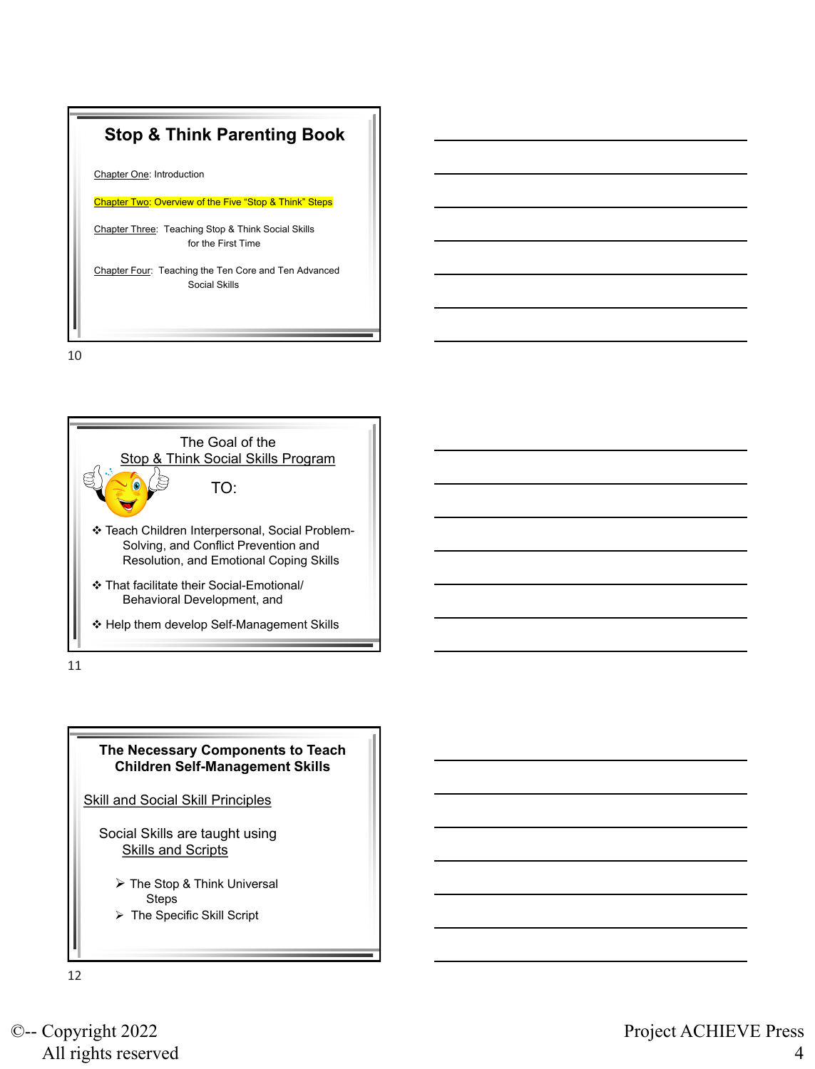

Chapter One: Introduction

Chapter Two: Overview of the Five "Stop & Think" Steps

Chapter Three: Teaching Stop & Think Social Skills for the First Time

Chapter Four: Teaching the Ten Core and Ten Advanced Social Skills

10



11



Social Skills are taught using **Skills and Scripts** 

- ➢ The Stop & Think Universal Steps
- ➢ The Specific Skill Script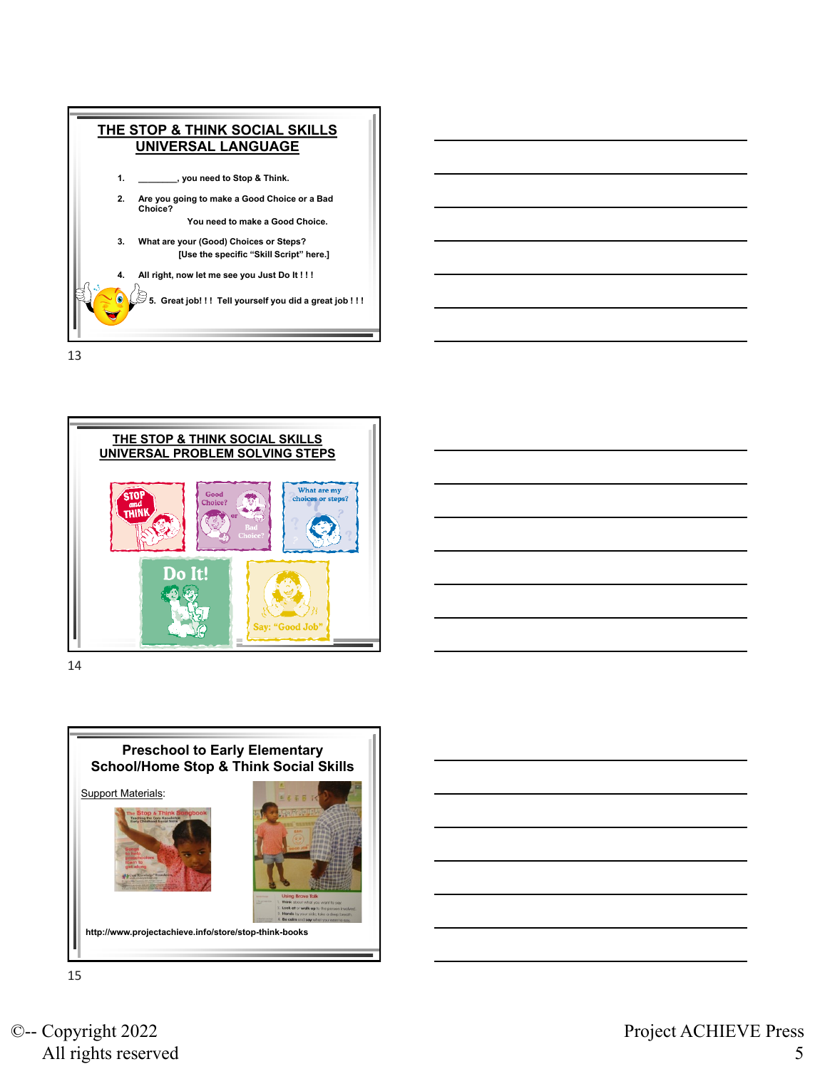





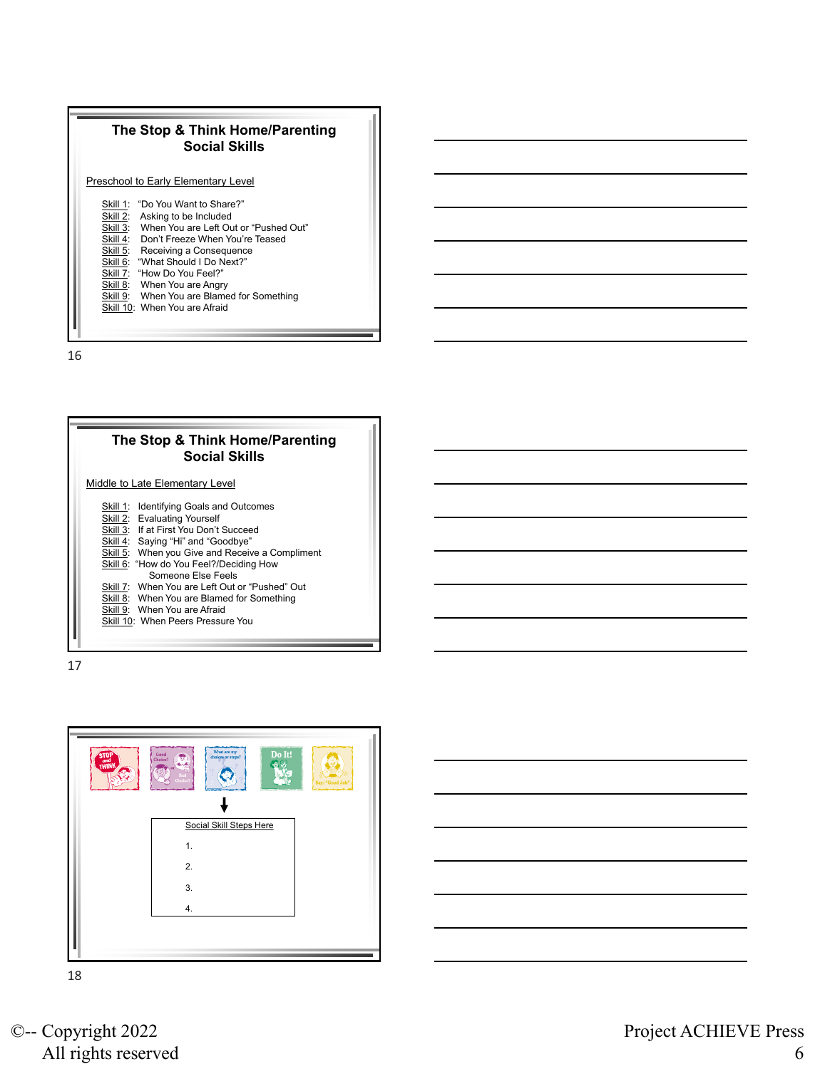







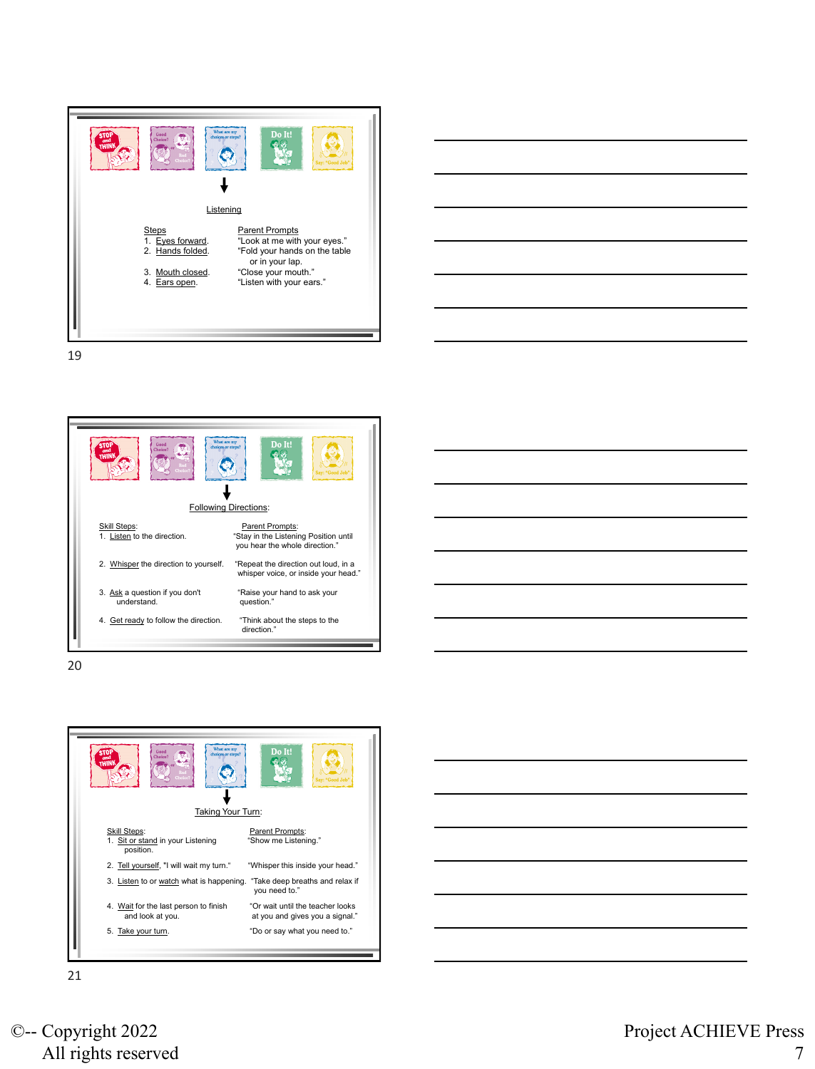





20

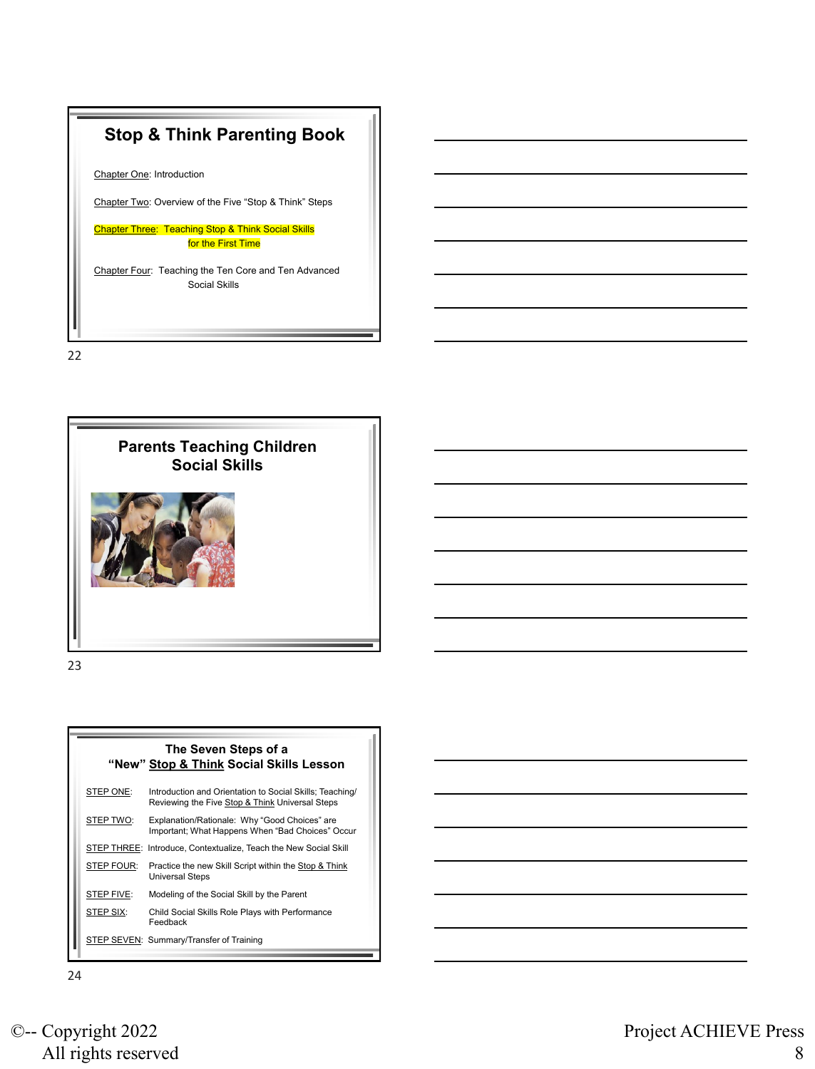



|            | The Seven Steps of a<br>"New" Stop & Think Social Skills Lesson                                             |
|------------|-------------------------------------------------------------------------------------------------------------|
| STEP ONE:  | Introduction and Orientation to Social Skills; Teaching/<br>Reviewing the Five Stop & Think Universal Steps |
| STEP TWO:  | Explanation/Rationale: Why "Good Choices" are<br>Important; What Happens When "Bad Choices" Occur           |
|            | STEP THREE: Introduce, Contextualize, Teach the New Social Skill                                            |
| STEP FOUR: | Practice the new Skill Script within the Stop & Think<br><b>Universal Steps</b>                             |
| STEP FIVE: | Modeling of the Social Skill by the Parent                                                                  |
| STEP SIX:  | Child Social Skills Role Plays with Performance<br>Feedback                                                 |
|            | STEP SEVEN: Summary/Transfer of Training                                                                    |

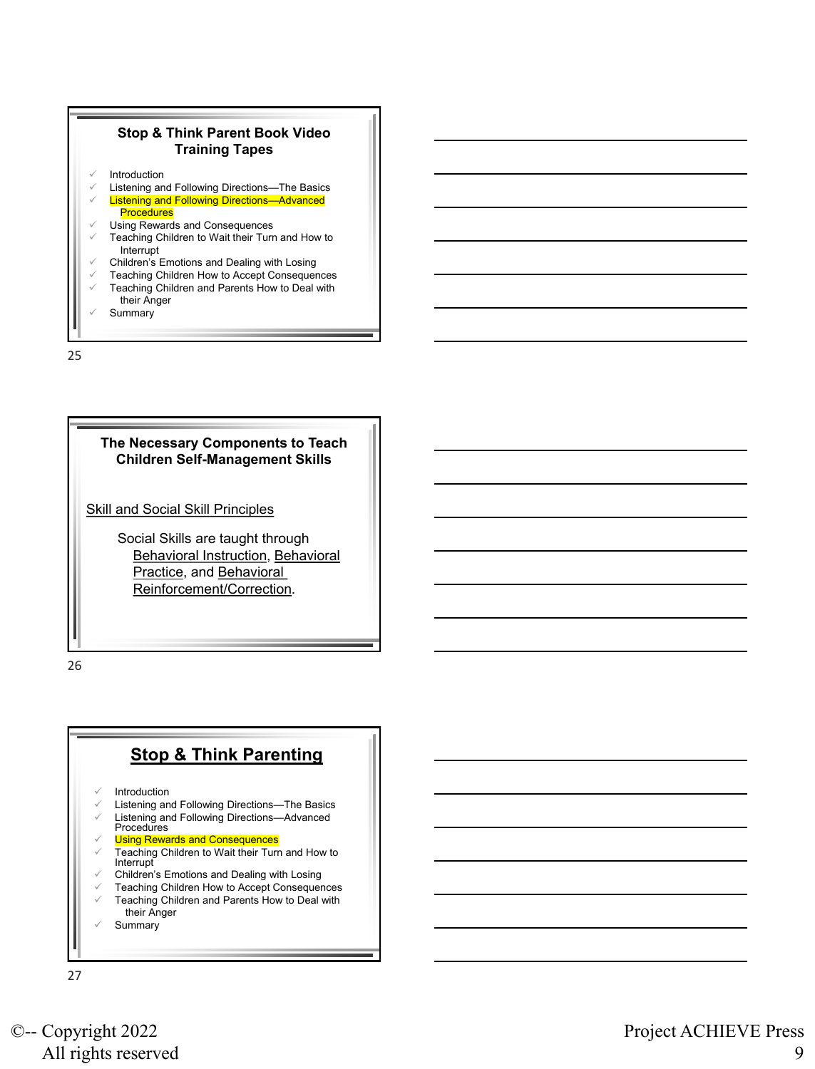

## **The Necessary Components to Teach Children Self-Management Skills**

**Skill and Social Skill Principles** 

Social Skills are taught through Behavioral Instruction, Behavioral Practice, and Behavioral Reinforcement/Correction.

26

# **Stop & Think Parenting**

- **Introduction**
- Listening and Following Directions-The Basics
- Listening and Following Directions-Advanced
- Procedures
- **Using Rewards and Consequences**
- Teaching Children to Wait their Turn and How to **Interrupt**
- ✓ Children's Emotions and Dealing with Losing
- ✓ Teaching Children How to Accept Consequences
- Teaching Children and Parents How to Deal with their Anger
- **Summary**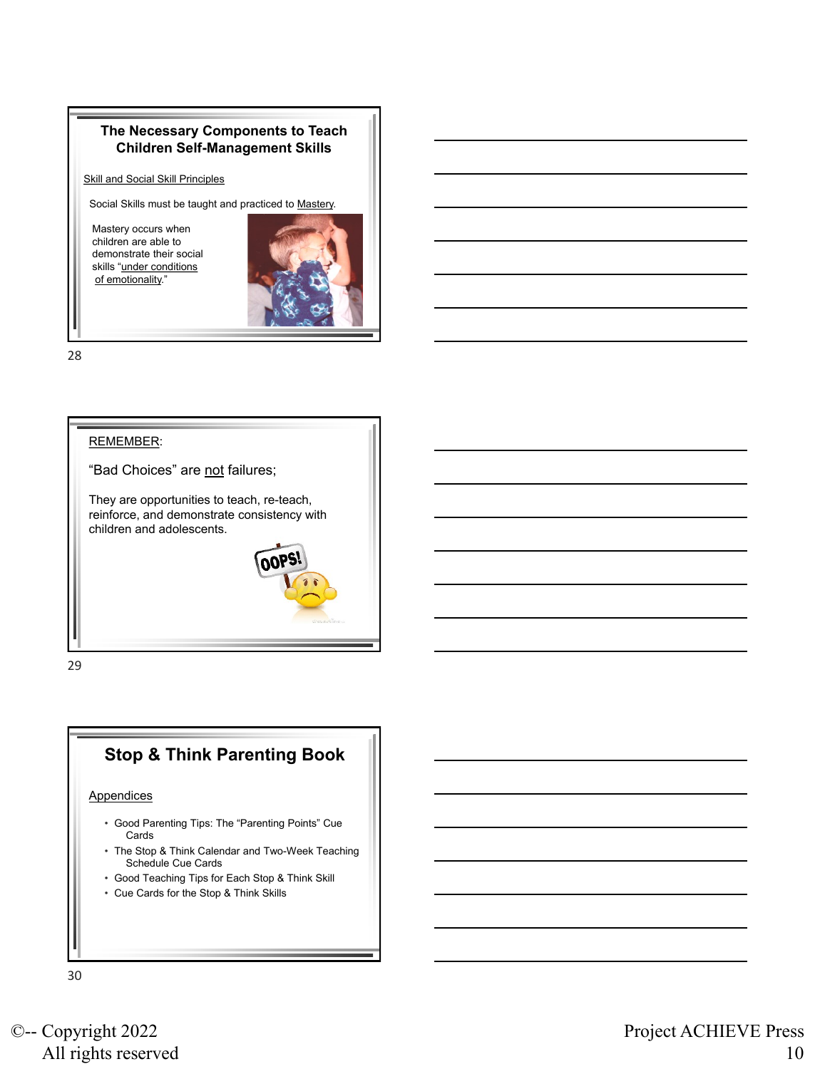### **The Necessary Components to Teach Children Self-Management Skills**

**Skill and Social Skill Principles** 

Social Skills must be taught and practiced to Mastery.

Mastery occurs when children are able to demonstrate their social skills "under conditions of emotionality."



28



29

# **Stop & Think Parenting Book**

#### **Appendices**

- Good Parenting Tips: The "Parenting Points" Cue Cards
- The Stop & Think Calendar and Two-Week Teaching Schedule Cue Cards
- Good Teaching Tips for Each Stop & Think Skill
- Cue Cards for the Stop & Think Skills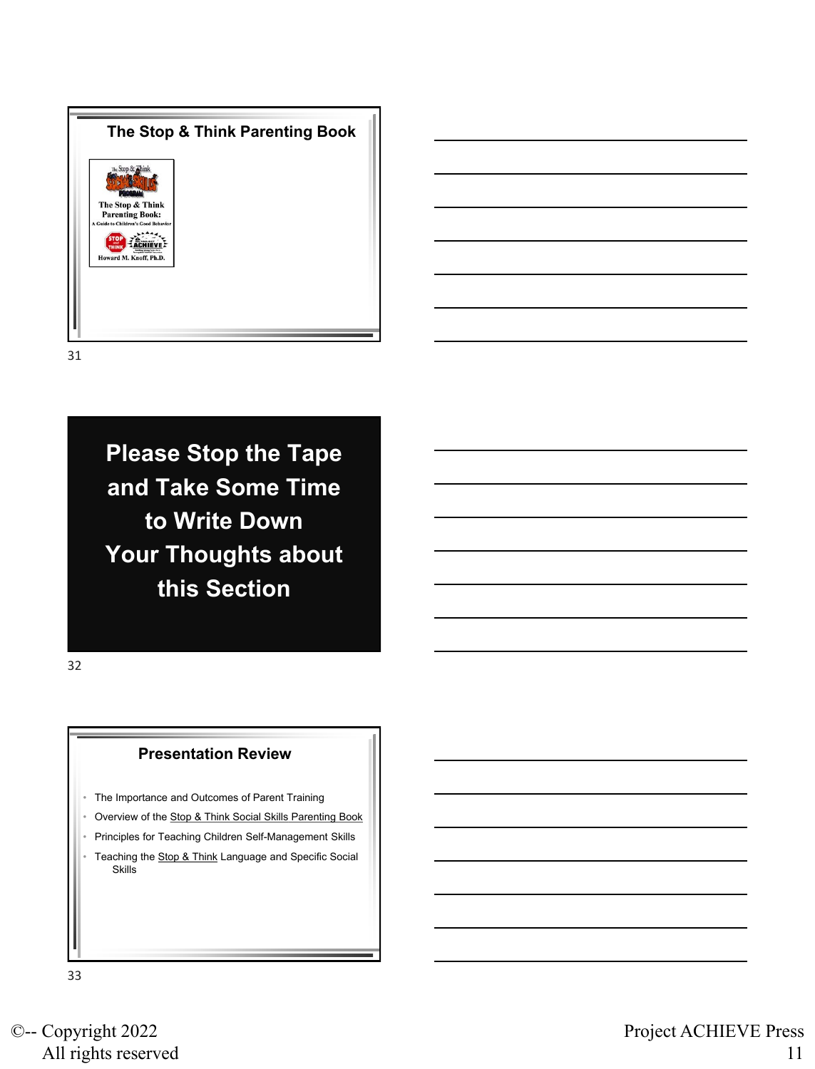

**Please Stop the Tape and Take Some Time to Write Down Your Thoughts about this Section**

32

#### **Presentation Review**

- The Importance and Outcomes of Parent Training
- Overview of the Stop & Think Social Skills Parenting Book
- Principles for Teaching Children Self-Management Skills
- Teaching the Stop & Think Language and Specific Social **Skills**

33

©-- Copyright 2022 All rights reserved